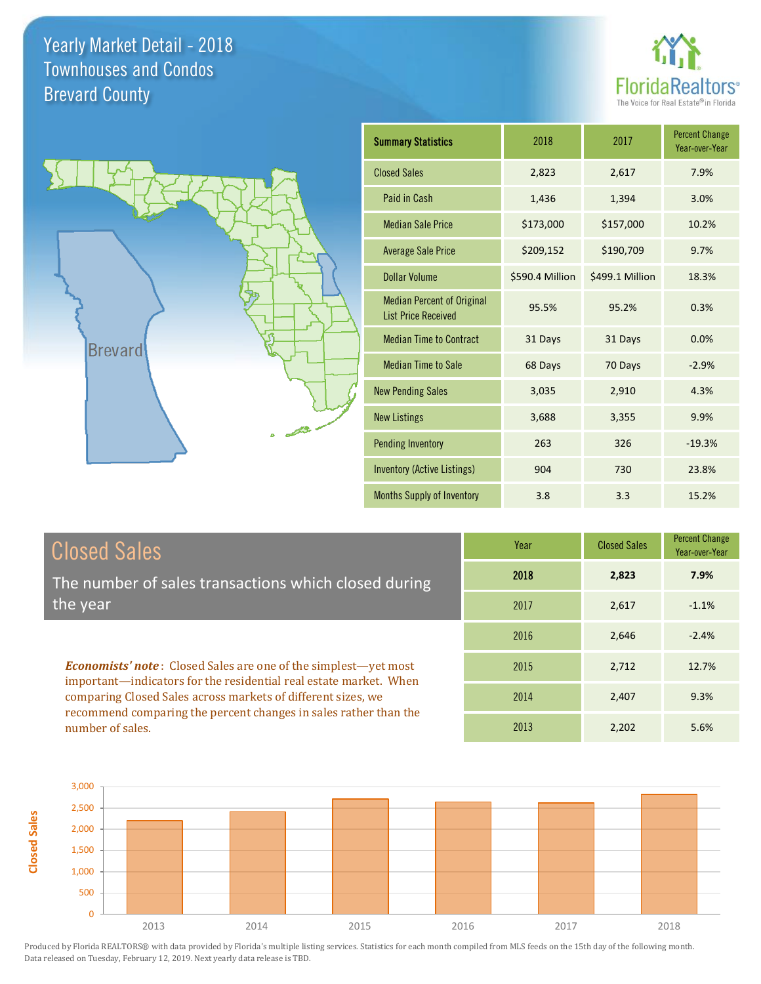



| <b>Summary Statistics</b>                                       | 2018            | 2017            | <b>Percent Change</b><br>Year-over-Year |
|-----------------------------------------------------------------|-----------------|-----------------|-----------------------------------------|
| <b>Closed Sales</b>                                             | 2,823           | 2,617           | 7.9%                                    |
| Paid in Cash                                                    | 1,436           | 1,394           | 3.0%                                    |
| <b>Median Sale Price</b>                                        | \$173,000       | \$157,000       | 10.2%                                   |
| <b>Average Sale Price</b>                                       | \$209,152       | \$190,709       | 9.7%                                    |
| <b>Dollar Volume</b>                                            | \$590.4 Million | \$499.1 Million | 18.3%                                   |
| <b>Median Percent of Original</b><br><b>List Price Received</b> | 95.5%           | 95.2%           | 0.3%                                    |
| <b>Median Time to Contract</b>                                  | 31 Days         | 31 Days         | 0.0%                                    |
| <b>Median Time to Sale</b>                                      | 68 Days         | 70 Days         | $-2.9%$                                 |
| <b>New Pending Sales</b>                                        | 3,035           | 2,910           | 4.3%                                    |
| <b>New Listings</b>                                             | 3,688           | 3,355           | 9.9%                                    |
| <b>Pending Inventory</b>                                        | 263             | 326             | $-19.3%$                                |
| <b>Inventory (Active Listings)</b>                              | 904             | 730             | 23.8%                                   |
| Months Supply of Inventory                                      | 3.8             | 3.3             | 15.2%                                   |

## Closed Sales

The number of sales transactions which closed during the year

*Economists' note* : Closed Sales are one of the simplest—yet most important—indicators for the residential real estate market. When comparing Closed Sales across markets of different sizes, we recommend comparing the percent changes in sales rather than the number of sales.

| Year | <b>Closed Sales</b> | <b>Percent Change</b><br>Year-over-Year |
|------|---------------------|-----------------------------------------|
| 2018 | 2,823               | 7.9%                                    |
| 2017 | 2,617               | $-1.1%$                                 |
| 2016 | 2,646               | $-2.4%$                                 |
| 2015 | 2,712               | 12.7%                                   |
| 2014 | 2,407               | 9.3%                                    |
| 2013 | 2,202               | 5.6%                                    |

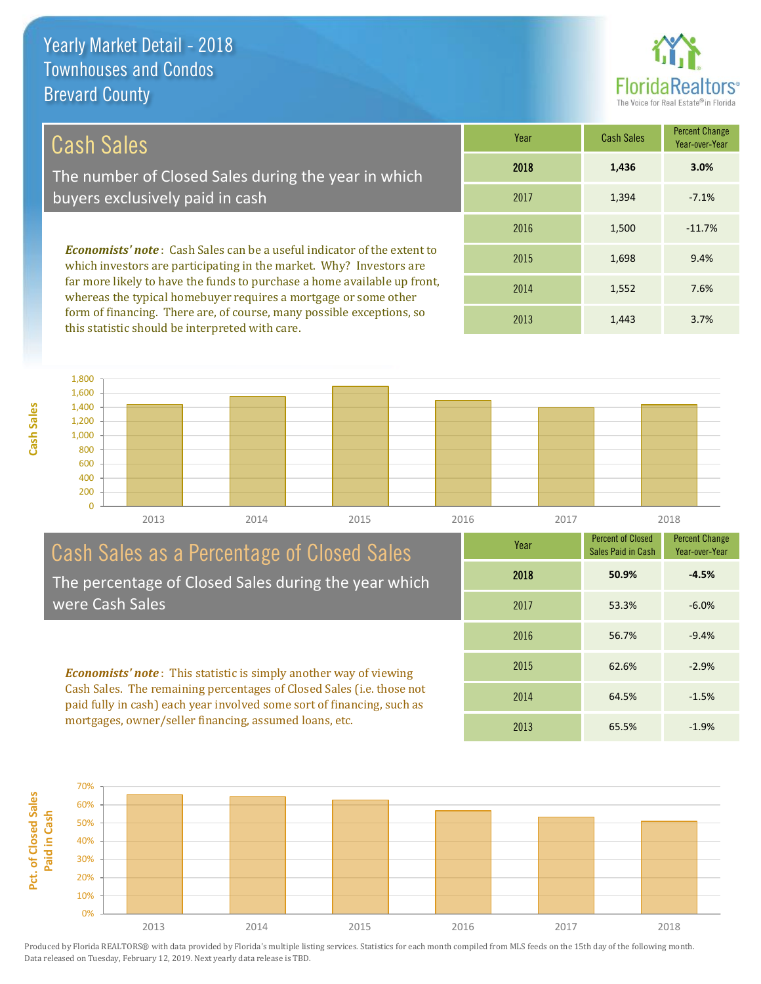

53.3% -6.0%

1,443 3.7%

Percent Change Year-over-Year

Percent of Closed Sales Paid in Cash

2018 **50.9% -4.5%**

56.7% -9.4%

62.6% -2.9%

64.5% -1.5%

2016

2017

Year

2013

2015

2014

2013

65.5% -1.9%

#### *Economists' note* : Cash Sales can be a useful indicator of the extent to which investors are participating in the market. Why? Investors are far more likely to have the funds to purchase a home available up front, whereas the typical homebuyer requires a mortgage or some other -7.1% 1,552 7.6% -11.7% 9.4% 2017 2016 2014 1,500 2015 1,698 1,394 Year Cash Sales Percent Change Year-over-Year 2018 **1,436 3.0%** Cash Sales The number of Closed Sales during the year in which buyers exclusively paid in cash

0 200 400 600 800 1,000 1,200 1,400 1,600 1,800 2013 2014 2015 2016 2017 2018

## Cash Sales as a Percentage of Closed Sales The percentage of Closed Sales during the year which

form of financing. There are, of course, many possible exceptions, so

this statistic should be interpreted with care.

**Cash Sales**

were Cash Sales

*Economists' note* : This statistic is simply another way of viewing Cash Sales. The remaining percentages of Closed Sales (i.e. those not paid fully in cash) each year involved some sort of financing, such as mortgages, owner/seller financing, assumed loans, etc.

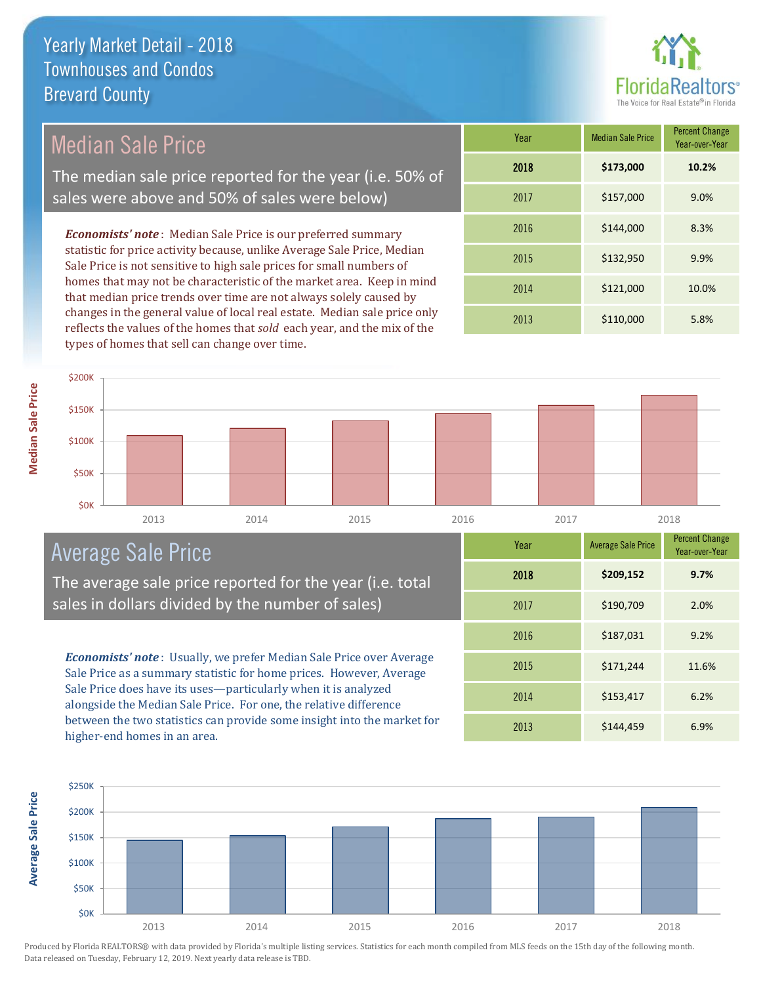

## Median Sale Price

The median sale price reported for the year (i.e. 50% of sales were above and 50% of sales were below)

*Economists' note* : Median Sale Price is our preferred summary statistic for price activity because, unlike Average Sale Price, Median Sale Price is not sensitive to high sale prices for small numbers of homes that may not be characteristic of the market area. Keep in mind that median price trends over time are not always solely caused by changes in the general value of local real estate. Median sale price only reflects the values of the homes that *sold* each year, and the mix of the types of homes that sell can change over time.

| Year | <b>Median Sale Price</b> | <b>Percent Change</b><br>Year-over-Year |
|------|--------------------------|-----------------------------------------|
| 2018 | \$173,000                | 10.2%                                   |
| 2017 | \$157,000                | 9.0%                                    |
| 2016 | \$144,000                | 8.3%                                    |
| 2015 | \$132,950                | 9.9%                                    |
| 2014 | \$121,000                | 10.0%                                   |
| 2013 | \$110,000                | 5.8%                                    |



## Average Sale Price

The average sale price reported for the year (i.e. total sales in dollars divided by the number of sales)

*Economists' note* : Usually, we prefer Median Sale Price over Average Sale Price as a summary statistic for home prices. However, Average Sale Price does have its uses—particularly when it is analyzed alongside the Median Sale Price. For one, the relative difference between the two statistics can provide some insight into the market for higher-end homes in an area.

| Year | <b>Average Sale Price</b> | <b>Percent Change</b><br>Year-over-Year |
|------|---------------------------|-----------------------------------------|
| 2018 | \$209,152                 | 9.7%                                    |
| 2017 | \$190,709                 | 2.0%                                    |
| 2016 | \$187,031                 | 9.2%                                    |
| 2015 | \$171,244                 | 11.6%                                   |
| 2014 | \$153,417                 | 6.2%                                    |
| 2013 | \$144,459                 | 6.9%                                    |

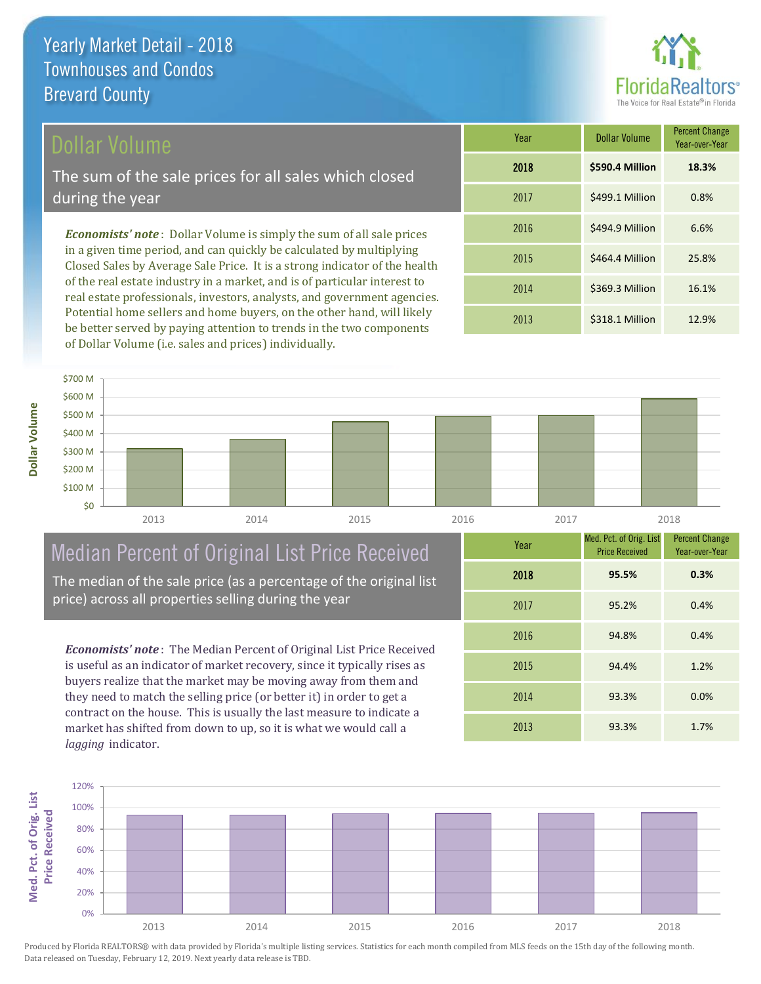## Dollar Volume

The sum of the sale prices for all sales which closed during the year

*Economists' note* : Dollar Volume is simply the sum of all sale prices in a given time period, and can quickly be calculated by multiplying Closed Sales by Average Sale Price. It is a strong indicator of the health of the real estate industry in a market, and is of particular interest to real estate professionals, investors, analysts, and government agencies. Potential home sellers and home buyers, on the other hand, will likely be better served by paying attention to trends in the two components of Dollar Volume (i.e. sales and prices) individually.

| Year | <b>Dollar Volume</b> | <b>Percent Change</b><br>Year-over-Year |
|------|----------------------|-----------------------------------------|
| 2018 | \$590.4 Million      | 18.3%                                   |
| 2017 | \$499.1 Million      | 0.8%                                    |
| 2016 | \$494.9 Million      | 6.6%                                    |
| 2015 | \$464.4 Million      | 25.8%                                   |
| 2014 | \$369.3 Million      | 16.1%                                   |
| 2013 | \$318.1 Million      | 12.9%                                   |



## Median Percent of Original List Price Received

The median of the sale price (as a percentage of the original list price) across all properties selling during the year

*Economists' note* : The Median Percent of Original List Price Received is useful as an indicator of market recovery, since it typically rises as buyers realize that the market may be moving away from them and they need to match the selling price (or better it) in order to get a contract on the house. This is usually the last measure to indicate a market has shifted from down to up, so it is what we would call a *lagging* indicator.

| Year | Med. Pct. of Orig. List<br><b>Price Received</b> | <b>Percent Change</b><br>Year-over-Year |
|------|--------------------------------------------------|-----------------------------------------|
| 2018 | 95.5%                                            | 0.3%                                    |
| 2017 | 95.2%                                            | 0.4%                                    |
| 2016 | 94.8%                                            | 0.4%                                    |
| 2015 | 94.4%                                            | 1.2%                                    |
| 2014 | 93.3%                                            | 0.0%                                    |
| 2013 | 93.3%                                            | 1.7%                                    |

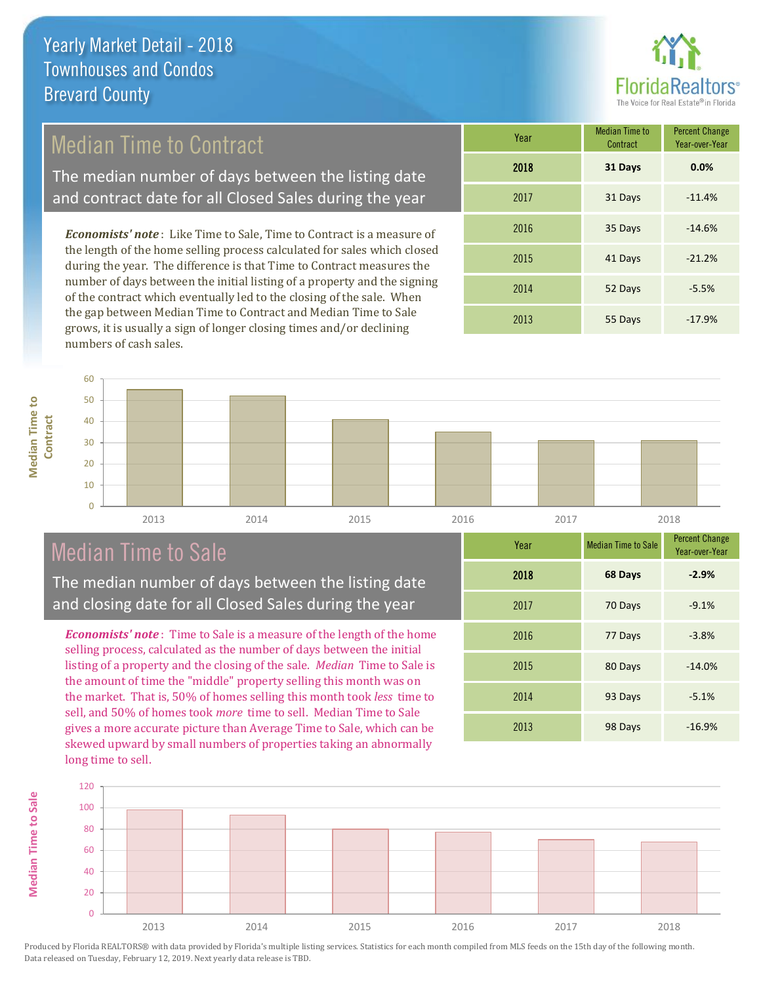

## Median Time to Contract

The median number of days between the listing date and contract date for all Closed Sales during the year

*Economists' note* : Like Time to Sale, Time to Contract is a measure of the length of the home selling process calculated for sales which closed during the year. The difference is that Time to Contract measures the number of days between the initial listing of a property and the signing of the contract which eventually led to the closing of the sale. When the gap between Median Time to Contract and Median Time to Sale grows, it is usually a sign of longer closing times and/or declining numbers of cash sales.

| Year | <b>Median Time to</b><br>Contract | <b>Percent Change</b><br>Year-over-Year |
|------|-----------------------------------|-----------------------------------------|
| 2018 | 31 Days                           | 0.0%                                    |
| 2017 | 31 Days                           | $-11.4%$                                |
| 2016 | 35 Days                           | $-14.6%$                                |
| 2015 | 41 Days                           | $-21.2%$                                |
| 2014 | 52 Days                           | $-5.5%$                                 |
| 2013 | 55 Days                           | $-17.9%$                                |

### $\overline{0}$ 10 20 30  $40$ 50 60 **Contract** 2013 2014 2015 2016 2017 2018

## Median Time to Sale

The median number of days between the listing date and closing date for all Closed Sales during the year

*Economists' note* : Time to Sale is a measure of the length of the home selling process, calculated as the number of days between the initial listing of a property and the closing of the sale. *Median* Time to Sale is the amount of time the "middle" property selling this month was on the market. That is, 50% of homes selling this month took *less* time to sell, and 50% of homes took *more* time to sell. Median Time to Sale gives a more accurate picture than Average Time to Sale, which can be skewed upward by small numbers of properties taking an abnormally long time to sell.

| Year | <b>Median Time to Sale</b> | <b>Percent Change</b><br>Year-over-Year |
|------|----------------------------|-----------------------------------------|
| 2018 | 68 Days                    | $-2.9%$                                 |
| 2017 | 70 Days                    | $-9.1%$                                 |
| 2016 | 77 Days                    | $-3.8%$                                 |
| 2015 | 80 Days                    | $-14.0%$                                |
| 2014 | 93 Days                    | $-5.1%$                                 |
| 2013 | 98 Days                    | $-16.9%$                                |



Produced by Florida REALTORS® with data provided by Florida's multiple listing services. Statistics for each month compiled from MLS feeds on the 15th day of the following month. Data released on Tuesday, February 12, 2019. Next yearly data release is TBD.

**Median Time to** 

**Median Time to**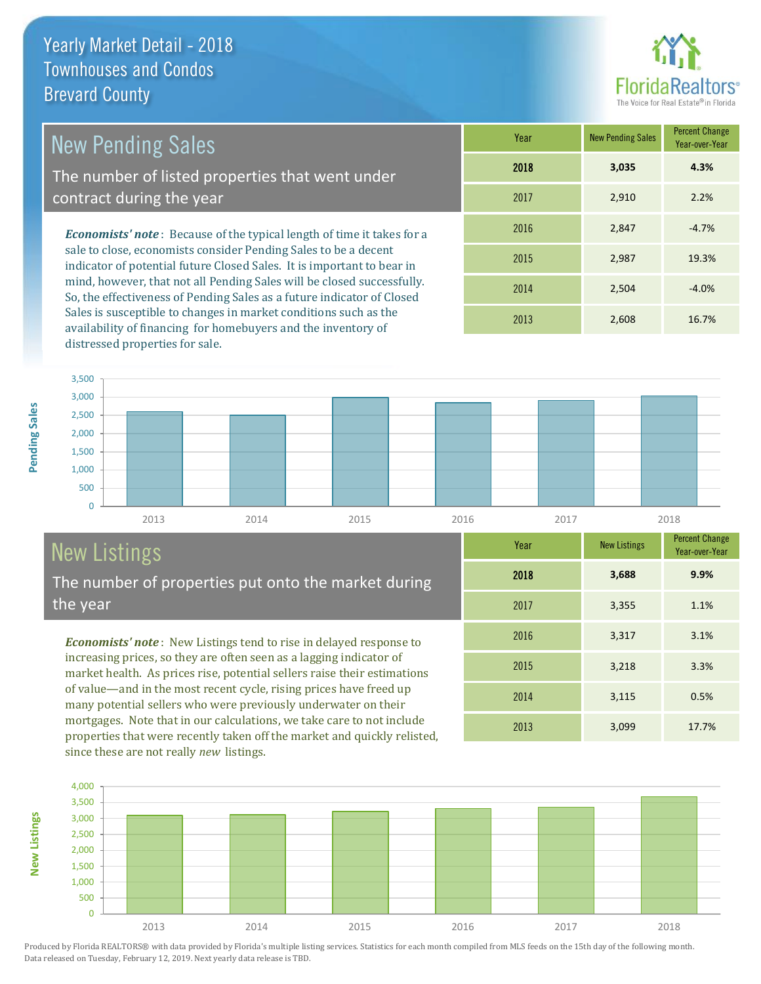# Floric

| <b>New Pending Sales</b>                                                                                                                                                                                                   | Year | <b>New Pending Sales</b> | <b>Percent Change</b><br>Year-over-Year |
|----------------------------------------------------------------------------------------------------------------------------------------------------------------------------------------------------------------------------|------|--------------------------|-----------------------------------------|
| The number of listed properties that went under                                                                                                                                                                            | 2018 | 3,035                    | 4.3%                                    |
| contract during the year                                                                                                                                                                                                   | 2017 | 2,910                    | 2.2%                                    |
| <b>Economists' note:</b> Because of the typical length of time it takes for a<br>sale to close, economists consider Pending Sales to be a decent<br>indicator of potential future Closed Sales. It is important to bear in | 2016 | 2,847                    | $-4.7%$                                 |
|                                                                                                                                                                                                                            | 2015 | 2,987                    | 19.3%                                   |

indicator of potential future Closed Sales. It is important to bear in mind, however, that not all Pending Sales will be closed successfully. So, the effectiveness of Pending Sales as a future indicator of Closed Sales is susceptible to changes in market conditions such as the availability of financing for homebuyers and the inventory of distressed properties for sale.

| .    |       | Year-over-Year |
|------|-------|----------------|
| 2018 | 3,035 | 4.3%           |
| 2017 | 2,910 | 2.2%           |
| 2016 | 2,847 | $-4.7%$        |
| 2015 | 2,987 | 19.3%          |
| 2014 | 2,504 | $-4.0%$        |
| 2013 | 2,608 | 16.7%          |

2013 3,099 17.7%

2014 3,115 0.5%

2015 3,218 3.3%

2016 3,317 3.1%

2017 3,355 1.1%

2018 **3,688**

**Year** New Listings Percent Change

**9.9%**

Year-over-Year



## New Listings

**New Listings**

The number of properties put onto the market during the year

*Economists' note* : New Listings tend to rise in delayed response to increasing prices, so they are often seen as a lagging indicator of market health. As prices rise, potential sellers raise their estimations of value—and in the most recent cycle, rising prices have freed up many potential sellers who were previously underwater on their mortgages. Note that in our calculations, we take care to not include properties that were recently taken off the market and quickly relisted, since these are not really *new* listings.

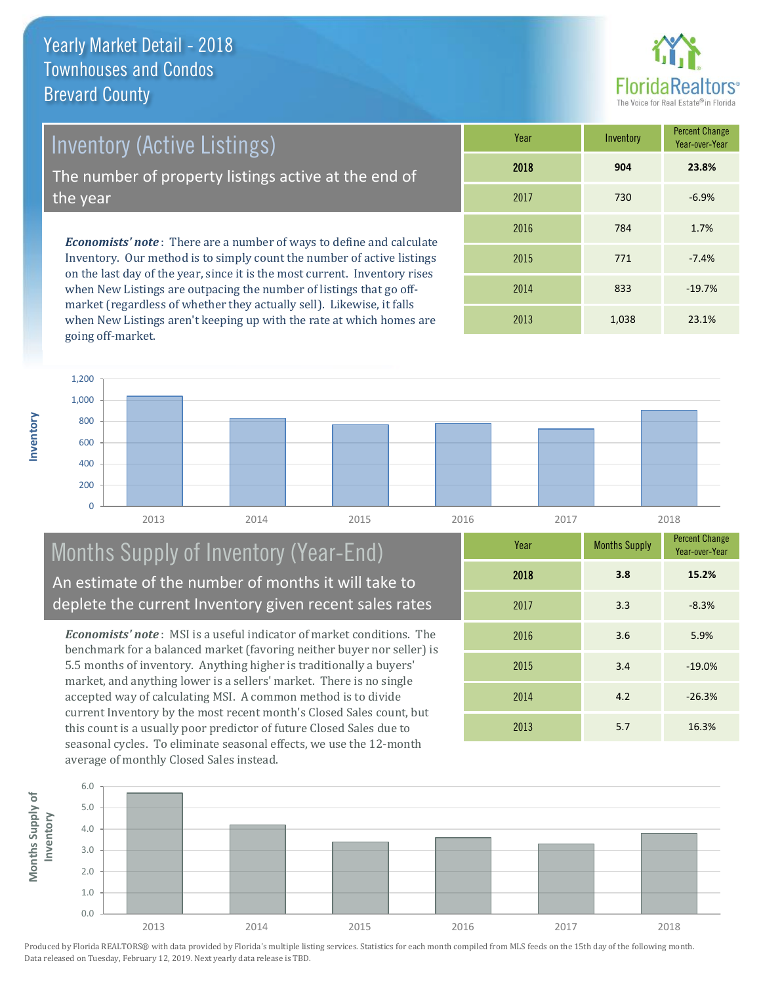**Inventory**



Inventory (Active Listings)

The number of property listings active at the end of the year

*Economists' note* : There are a number of ways to define and calculate Inventory. Our method is to simply count the number of active listings on the last day of the year, since it is the most current. Inventory rises when New Listings are outpacing the number of listings that go offmarket (regardless of whether they actually sell). Likewise, it falls when New Listings aren't keeping up with the rate at which homes are going off-market.

| Year | Inventory | <b>Percent Change</b><br>Year-over-Year |
|------|-----------|-----------------------------------------|
| 2018 | 904       | 23.8%                                   |
| 2017 | 730       | $-6.9%$                                 |
| 2016 | 784       | 1.7%                                    |
| 2015 | 771       | $-7.4%$                                 |
| 2014 | 833       | $-19.7%$                                |
| 2013 | 1,038     | 23.1%                                   |



## Months Supply of Inventory (Year-End) An estimate of the number of months it will take to deplete the current Inventory given recent sales rates

*Economists' note* : MSI is a useful indicator of market conditions. The benchmark for a balanced market (favoring neither buyer nor seller) is 5.5 months of inventory. Anything higher is traditionally a buyers' market, and anything lower is a sellers' market. There is no single accepted way of calculating MSI. A common method is to divide current Inventory by the most recent month's Closed Sales count, but this count is a usually poor predictor of future Closed Sales due to seasonal cycles. To eliminate seasonal effects, we use the 12-month average of monthly Closed Sales instead.

| Year | <b>Months Supply</b> | <b>Percent Change</b><br>Year-over-Year |
|------|----------------------|-----------------------------------------|
| 2018 | 3.8                  | 15.2%                                   |
| 2017 | 3.3                  | $-8.3%$                                 |
| 2016 | 3.6                  | 5.9%                                    |
| 2015 | 3.4                  | $-19.0%$                                |
| 2014 | 4.2                  | $-26.3%$                                |
| 2013 | 5.7                  | 16.3%                                   |

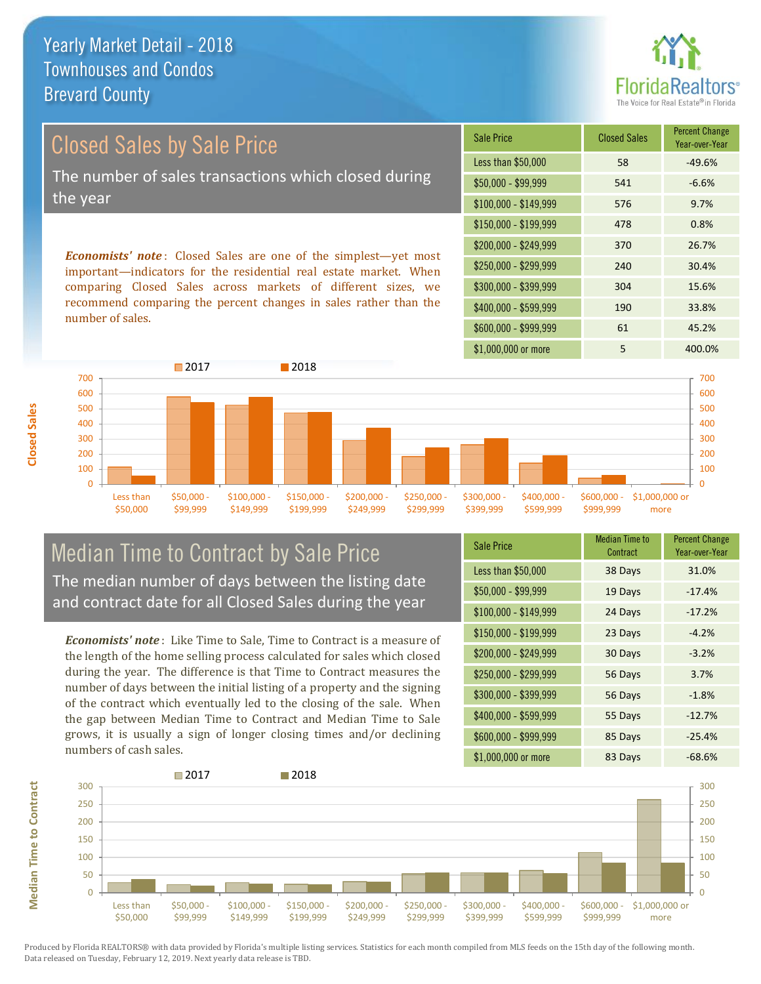

## Closed Sales by Sale Price The number of sales transactions which closed during the year

*Economists' note* : Closed Sales are one of the simplest—yet most important—indicators for the residential real estate market. When comparing Closed Sales across markets of different sizes, we recommend comparing the percent changes in sales rather than the number of sales.

| <b>Sale Price</b>     | <b>Closed Sales</b> | <b>Percent Change</b><br>Year-over-Year |
|-----------------------|---------------------|-----------------------------------------|
| Less than \$50,000    | 58                  | $-49.6%$                                |
| $$50,000 - $99,999$   | 541                 | $-6.6%$                                 |
| $$100,000 - $149,999$ | 576                 | 9.7%                                    |
| \$150,000 - \$199,999 | 478                 | 0.8%                                    |
| \$200,000 - \$249,999 | 370                 | 26.7%                                   |
| \$250,000 - \$299,999 | 240                 | 30.4%                                   |
| \$300,000 - \$399,999 | 304                 | 15.6%                                   |
| \$400,000 - \$599,999 | 190                 | 33.8%                                   |
| \$600,000 - \$999,999 | 61                  | 45.2%                                   |
| \$1,000,000 or more   | 5                   | 400.0%                                  |



## Median Time to Contract by Sale Price The median number of days between the listing date and contract date for all Closed Sales during the year

*Economists' note* : Like Time to Sale, Time to Contract is a measure of the length of the home selling process calculated for sales which closed during the year. The difference is that Time to Contract measures the number of days between the initial listing of a property and the signing of the contract which eventually led to the closing of the sale. When the gap between Median Time to Contract and Median Time to Sale grows, it is usually a sign of longer closing times and/or declining numbers of cash sales.

| <b>Sale Price</b>     | <b>Median Time to</b><br>Contract | <b>Percent Change</b><br>Year-over-Year |
|-----------------------|-----------------------------------|-----------------------------------------|
| Less than \$50,000    | 38 Days                           | 31.0%                                   |
| \$50,000 - \$99,999   | 19 Days                           | $-17.4%$                                |
| $$100,000 - $149,999$ | 24 Days                           | $-17.2%$                                |
| $$150,000 - $199,999$ | 23 Days                           | $-4.2%$                                 |
| \$200,000 - \$249,999 | 30 Days                           | $-3.2%$                                 |
| \$250,000 - \$299,999 | 56 Days                           | 3.7%                                    |
| \$300,000 - \$399,999 | 56 Days                           | $-1.8%$                                 |
| \$400,000 - \$599,999 | 55 Days                           | $-12.7%$                                |
| \$600,000 - \$999,999 | 85 Days                           | $-25.4%$                                |
| \$1,000,000 or more   | 83 Days                           | $-68.6%$                                |



Produced by Florida REALTORS® with data provided by Florida's multiple listing services. Statistics for each month compiled from MLS feeds on the 15th day of the following month. Data released on Tuesday, February 12, 2019. Next yearly data release is TBD.

**Median Time to Contract Median Time to Contract**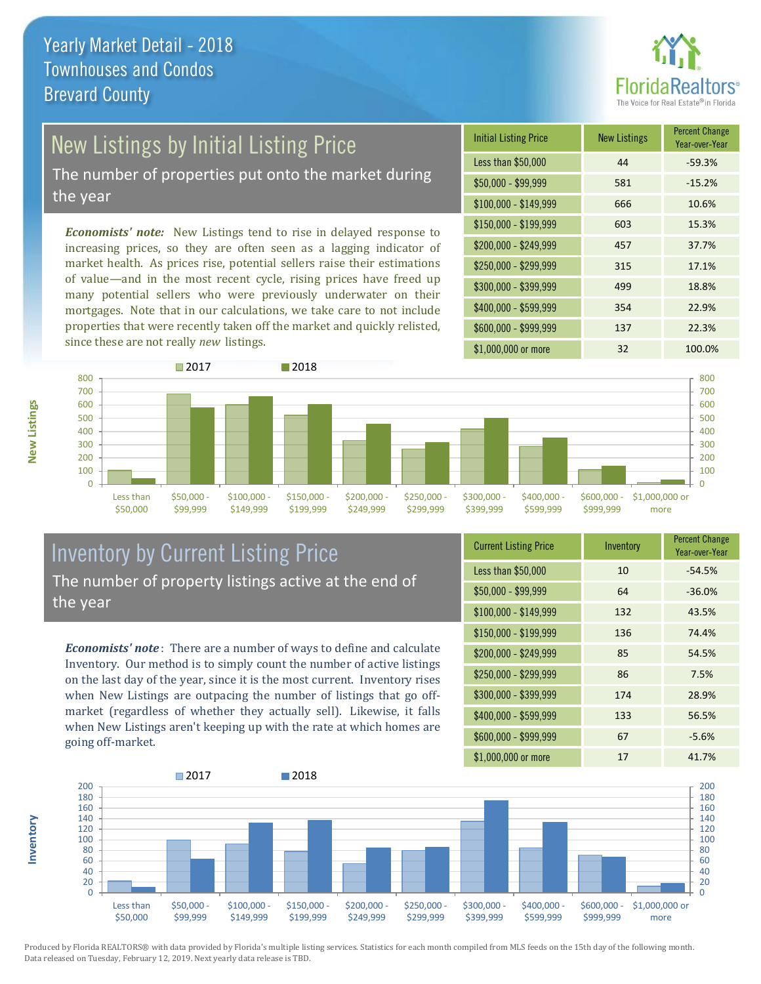

## New Listings by Initial Listing Price

The number of properties put onto the market during the year

*Economists' note:* New Listings tend to rise in delayed response to increasing prices, so they are often seen as a lagging indicator of market health. As prices rise, potential sellers raise their estimations of value—and in the most recent cycle, rising prices have freed up many potential sellers who were previously underwater on their mortgages. Note that in our calculations, we take care to not include properties that were recently taken off the market and quickly relisted, since these are not really *new* listings.





## Inventory by Current Listing Price The number of property listings active at the end of the year

*Economists' note* : There are a number of ways to define and calculate Inventory. Our method is to simply count the number of active listings on the last day of the year, since it is the most current. Inventory rises when New Listings are outpacing the number of listings that go offmarket (regardless of whether they actually sell). Likewise, it falls when New Listings aren't keeping up with the rate at which homes are going off-market.

| <b>Current Listing Price</b> | Inventory | <b>Percent Change</b><br>Year-over-Year |
|------------------------------|-----------|-----------------------------------------|
| Less than \$50,000           | 10        | $-54.5%$                                |
| $$50,000 - $99,999$          | 64        | $-36.0%$                                |
| $$100,000 - $149,999$        | 132       | 43.5%                                   |
| $$150,000 - $199,999$        | 136       | 74.4%                                   |
| \$200,000 - \$249,999        | 85        | 54.5%                                   |
| \$250,000 - \$299,999        | 86        | 7.5%                                    |
| \$300,000 - \$399,999        | 174       | 28.9%                                   |
| \$400,000 - \$599,999        | 133       | 56.5%                                   |
| \$600,000 - \$999,999        | 67        | $-5.6%$                                 |
| \$1,000,000 or more          | 17        | 41.7%                                   |



Produced by Florida REALTORS® with data provided by Florida's multiple listing services. Statistics for each month compiled from MLS feeds on the 15th day of the following month. Data released on Tuesday, February 12, 2019. Next yearly data release is TBD.

**Inventory**